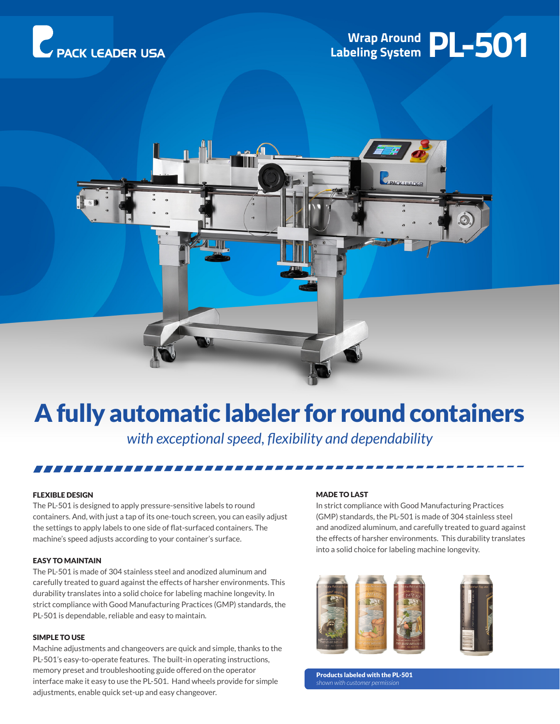





## A fully automatic labeler for round containers

*with exceptional speed, flexibility and dependability*

#### FLEXIBLE DESIGN

The PL-501 is designed to apply pressure-sensitive labels to round containers. And, with just a tap of its one-touch screen, you can easily adjust the settings to apply labels to one side of flat-surfaced containers. The machine's speed adjusts according to your container's surface.

7*888888888888888888888* 

#### EASY TO MAINTAIN

The PL-501 is made of 304 stainless steel and anodized aluminum and carefully treated to guard against the effects of harsher environments. This durability translates into a solid choice for labeling machine longevity. In strict compliance with Good Manufacturing Practices (GMP) standards, the PL-501 is dependable, reliable and easy to maintain.

#### SIMPLE TO USE

Machine adjustments and changeovers are quick and simple, thanks to the PL-501's easy-to-operate features. The built-in operating instructions, memory preset and troubleshooting guide offered on the operator interface make it easy to use the PL-501. Hand wheels provide for simple adjustments, enable quick set-up and easy changeover.

#### MADE TO LAST

In strict compliance with Good Manufacturing Practices (GMP) standards, the PL-501 is made of 304 stainless steel and anodized aluminum, and carefully treated to guard against the effects of harsher environments. This durability translates into a solid choice for labeling machine longevity.



Products labeled with the PL-501 *shown with customer permission*